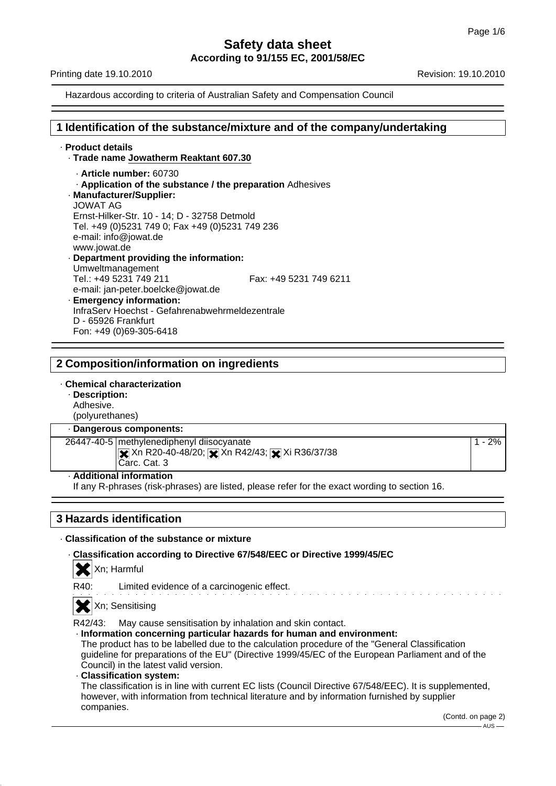Printing date 19.10.2010 **Revision: 19.10.2010** Revision: 19.10.2010

Hazardous according to criteria of Australian Safety and Compensation Council

## **1 Identification of the substance/mixture and of the company/undertaking**

### · **Product details** · **Trade name Jowatherm Reaktant 607.30** · **Article number:** 60730 · **Application of the substance / the preparation** Adhesives · **Manufacturer/Supplier:** JOWAT AG Ernst-Hilker-Str. 10 - 14; D - 32758 Detmold Tel. +49 (0)5231 749 0; Fax +49 (0)5231 749 236 e-mail: info@jowat.de www.jowat.de · **Department providing the information:** Umweltmanagement Tel.: +49 5231 749 211 Fax: +49 5231 749 6211 e-mail: jan-peter.boelcke@jowat.de · **Emergency information:** InfraServ Hoechst - Gefahrenabwehrmeldezentrale D - 65926 Frankfurt Fon: +49 (0)69-305-6418

# **2 Composition/information on ingredients**

### · **Chemical characterization**

· **Description:**

Adhesive. (polyurethanes)

### · **Dangerous components:**

26447-40-5 methylenediphenyl diisocyanate  $\triangleright$  Xn R20-40-48/20;  $\triangleright$  Xn R42/43;  $\triangleright$  Xi R36/37/38 Carc. Cat. 3

### · **Additional information**

If any R-phrases (risk-phrases) are listed, please refer for the exact wording to section 16.

# **3 Hazards identification**

## · **Classification of the substance or mixture**

· **Classification according to Directive 67/548/EEC or Directive 1999/45/EC**

Xn; Harmful

|  | $-$ |  |
|--|-----|--|
|  |     |  |
|  |     |  |

R40: Limited evidence of a carcinogenic effect.

Xn; Sensitising

R42/43: May cause sensitisation by inhalation and skin contact.

· **Information concerning particular hazards for human and environment:**

- The product has to be labelled due to the calculation procedure of the "General Classification guideline for preparations of the EU" (Directive 1999/45/EC of the European Parliament and of the Council) in the latest valid version.
- · **Classification system:**

The classification is in line with current EC lists (Council Directive 67/548/EEC). It is supplemented, however, with information from technical literature and by information furnished by supplier companies.

1 - 2%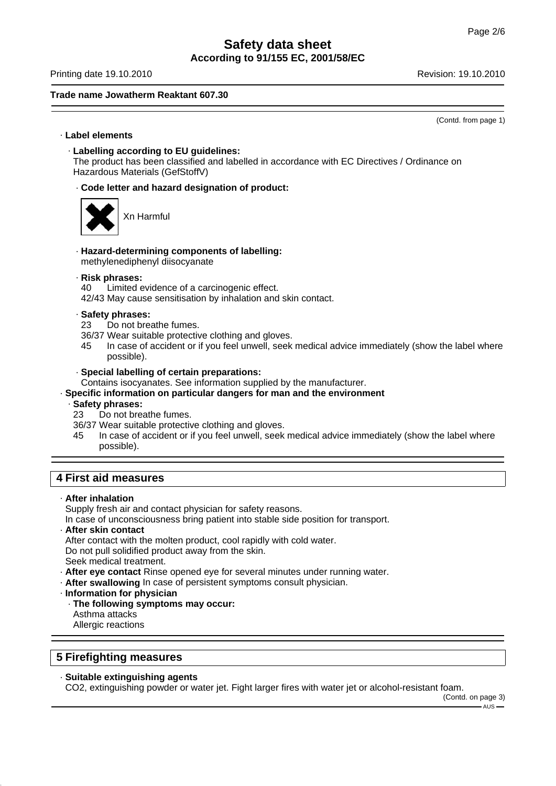Printing date 19.10.2010 **Revision: 19.10.2010** Revision: 19.10.2010

### **Trade name Jowatherm Reaktant 607.30**

(Contd. from page 1)

### · **Label elements**

· **Labelling according to EU guidelines:**

The product has been classified and labelled in accordance with EC Directives / Ordinance on Hazardous Materials (GefStoffV)

· **Code letter and hazard designation of product:**



Xn Harmful

- · **Hazard-determining components of labelling:** methylenediphenyl diisocyanate
- · **Risk phrases:**

40 Limited evidence of a carcinogenic effect.

42/43 May cause sensitisation by inhalation and skin contact.

- · **Safety phrases:**
- 23 Do not breathe fumes.
- 36/37 Wear suitable protective clothing and gloves.
- 45 In case of accident or if you feel unwell, seek medical advice immediately (show the label where possible).
- · **Special labelling of certain preparations:**

Contains isocyanates. See information supplied by the manufacturer.

### · **Specific information on particular dangers for man and the environment**

- · **Safety phrases:**
- 23 Do not breathe fumes.
- 36/37 Wear suitable protective clothing and gloves.
- 45 In case of accident or if you feel unwell, seek medical advice immediately (show the label where possible).

# **4 First aid measures**

· **After inhalation**

Supply fresh air and contact physician for safety reasons.

In case of unconsciousness bring patient into stable side position for transport.

· **After skin contact**

After contact with the molten product, cool rapidly with cold water.

Do not pull solidified product away from the skin.

Seek medical treatment.

- · **After eye contact** Rinse opened eye for several minutes under running water.
- · **After swallowing** In case of persistent symptoms consult physician.
- · **Information for physician**
- · **The following symptoms may occur:** Asthma attacks
	- Allergic reactions

## **5 Firefighting measures**

# · **Suitable extinguishing agents**

CO2, extinguishing powder or water jet. Fight larger fires with water jet or alcohol-resistant foam.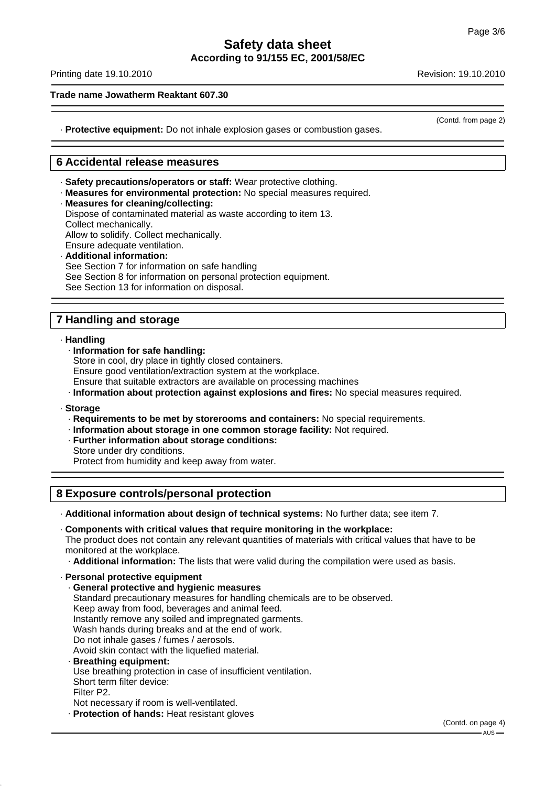Printing date 19.10.2010 **Revision: 19.10.2010** Revision: 19.10.2010

## **Trade name Jowatherm Reaktant 607.30**

(Contd. from page 2)

· **Protective equipment:** Do not inhale explosion gases or combustion gases.

# **6 Accidental release measures**

· **Safety precautions/operators or staff:** Wear protective clothing.

· **Measures for environmental protection:** No special measures required. · **Measures for cleaning/collecting:** Dispose of contaminated material as waste according to item 13. Collect mechanically. Allow to solidify. Collect mechanically. Ensure adequate ventilation. · **Additional information:**

See Section 7 for information on safe handling See Section 8 for information on personal protection equipment. See Section 13 for information on disposal.

# **7 Handling and storage**

· **Handling**

· **Information for safe handling:**

Store in cool, dry place in tightly closed containers.

Ensure good ventilation/extraction system at the workplace.

Ensure that suitable extractors are available on processing machines

· **Information about protection against explosions and fires:** No special measures required.

### · **Storage**

- · **Requirements to be met by storerooms and containers:** No special requirements.
- · **Information about storage in one common storage facility:** Not required.
- · **Further information about storage conditions:**
- Store under dry conditions. Protect from humidity and keep away from water.

**8 Exposure controls/personal protection**

· **Additional information about design of technical systems:** No further data; see item 7.

· **Components with critical values that require monitoring in the workplace:**

The product does not contain any relevant quantities of materials with critical values that have to be monitored at the workplace.

· **Additional information:** The lists that were valid during the compilation were used as basis.

- · **Personal protective equipment** · **General protective and hygienic measures** Standard precautionary measures for handling chemicals are to be observed. Keep away from food, beverages and animal feed. Instantly remove any soiled and impregnated garments. Wash hands during breaks and at the end of work. Do not inhale gases / fumes / aerosols. Avoid skin contact with the liquefied material. · **Breathing equipment:** Use breathing protection in case of insufficient ventilation. Short term filter device: Filter P2. Not necessary if room is well-ventilated.
	- · **Protection of hands:** Heat resistant gloves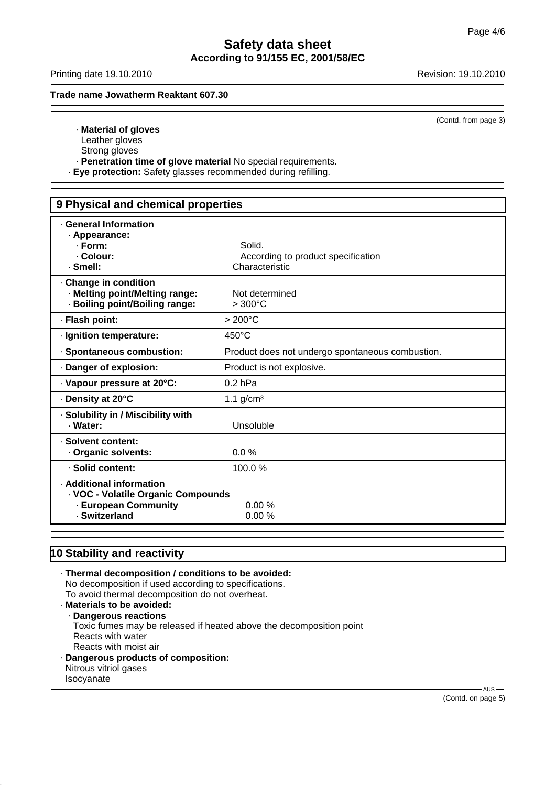Printing date 19.10.2010 **Revision: 19.10.2010** Revision: 19.10.2010

**Trade name Jowatherm Reaktant 607.30**

(Contd. from page 3)

- · **Material of gloves**
- Leather gloves
- Strong gloves
- · **Penetration time of glove material** No special requirements.
- · **Eye protection:** Safety glasses recommended during refilling.

| 9 Physical and chemical properties                                                                      |                                                                |  |
|---------------------------------------------------------------------------------------------------------|----------------------------------------------------------------|--|
| <b>General Information</b><br>· Appearance:<br>$\cdot$ Form:<br>· Colour:<br>· Smell:                   | Solid.<br>According to product specification<br>Characteristic |  |
| Change in condition<br>· Melting point/Melting range:<br>· Boiling point/Boiling range:                 | Not determined<br>$>300^{\circ}$ C                             |  |
| · Flash point:                                                                                          | $>200^{\circ}$ C                                               |  |
| · Ignition temperature:                                                                                 | $450^{\circ}$ C                                                |  |
| · Spontaneous combustion:                                                                               | Product does not undergo spontaneous combustion.               |  |
| Danger of explosion:                                                                                    | Product is not explosive.                                      |  |
| · Vapour pressure at 20°C:                                                                              | $0.2$ hPa                                                      |  |
| ⋅ Density at 20°C                                                                                       | 1.1 $g/cm3$                                                    |  |
| · Solubility in / Miscibility with<br>· Water:                                                          | Unsoluble                                                      |  |
| · Solvent content:<br>Organic solvents:                                                                 | 0.0%                                                           |  |
| · Solid content:                                                                                        | 100.0%                                                         |  |
| · Additional information<br>· VOC - Volatile Organic Compounds<br>- European Community<br>· Switzerland | 0.00%<br>0.00%                                                 |  |

# **10 Stability and reactivity**

· **Thermal decomposition / conditions to be avoided:** No decomposition if used according to specifications. To avoid thermal decomposition do not overheat. · **Materials to be avoided:** · **Dangerous reactions** Toxic fumes may be released if heated above the decomposition point Reacts with water Reacts with moist air · **Dangerous products of composition:** Nitrous vitriol gases Isocyanate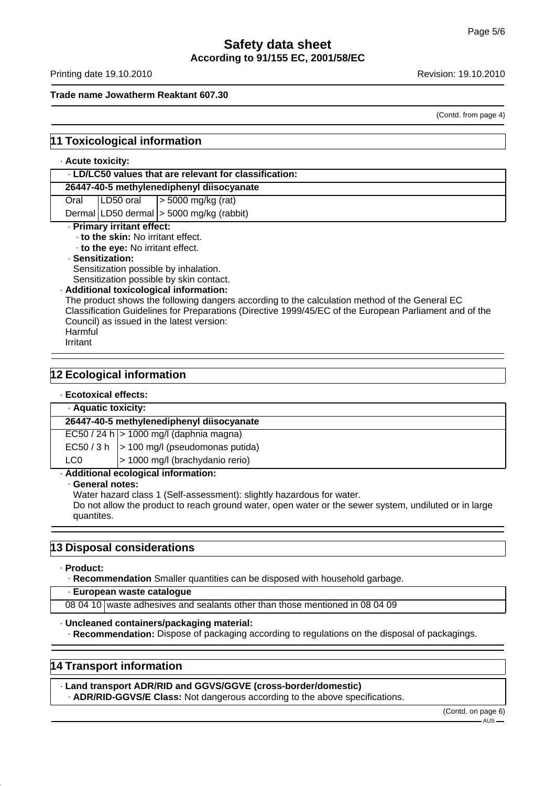Printing date 19.10.2010 **Revision: 19.10.2010** Revision: 19.10.2010

### **Trade name Jowatherm Reaktant 607.30**

(Contd. from page 4)

# **11 Toxicological information**

### · **Acute toxicity:**

| . LD/LC50 values that are relevant for classification: |  |                                          |
|--------------------------------------------------------|--|------------------------------------------|
| 26447-40-5 methylenediphenyl diisocyanate              |  |                                          |
| Oral                                                   |  | LD50 oral $\vert$ > 5000 mg/kg (rat)     |
|                                                        |  | Dermal LD50 dermal > 5000 mg/kg (rabbit) |
| · Primary irritant effect:                             |  |                                          |

· **to the skin:** No irritant effect.

· **to the eye:** No irritant effect.

### · **Sensitization:**

Sensitization possible by inhalation.

Sensitization possible by skin contact.

### · **Additional toxicological information:**

The product shows the following dangers according to the calculation method of the General EC Classification Guidelines for Preparations (Directive 1999/45/EC of the European Parliament and of the Council) as issued in the latest version: Harmful

Irritant

# **12 Ecological information**

### · **Ecotoxical effects:**

| · Aquatic toxicity:                       |                                              |  |
|-------------------------------------------|----------------------------------------------|--|
| 26447-40-5 methylenediphenyl diisocyanate |                                              |  |
|                                           | $EC50 / 24 h$ > 1000 mg/l (daphnia magna)    |  |
|                                           | $EC50 / 3 h$ > 100 mg/l (pseudomonas putida) |  |
| LC0                                       | > 1000 mg/l (brachydanio rerio)              |  |
| · Additional ecological information:      |                                              |  |

· **General notes:**

Water hazard class 1 (Self-assessment): slightly hazardous for water.

Do not allow the product to reach ground water, open water or the sewer system, undiluted or in large quantites.

### **13 Disposal considerations**

### · **Product:**

· **Recommendation** Smaller quantities can be disposed with household garbage.

### · **European waste catalogue**

08 04 10 waste adhesives and sealants other than those mentioned in 08 04 09

### · **Uncleaned containers/packaging material:**

· **Recommendation:** Dispose of packaging according to regulations on the disposal of packagings.

### **14 Transport information**

· **Land transport ADR/RID and GGVS/GGVE (cross-border/domestic)**

· **ADR/RID-GGVS/E Class:** Not dangerous according to the above specifications.

(Contd. on page 6)